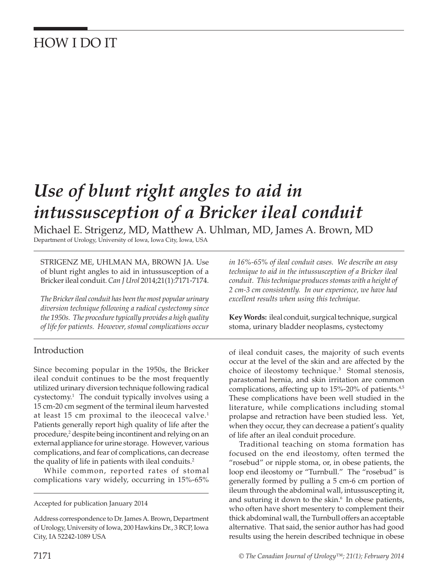# HOW I DO IT

# *Use of blunt right angles to aid in intussusception of a Bricker ileal conduit*

Michael E. Strigenz, MD, Matthew A. Uhlman, MD, James A. Brown, MD Department of Urology, University of Iowa, Iowa City, Iowa, USA

STRIGENZ ME, UHLMAN MA, BROWN JA. Use of blunt right angles to aid in intussusception of a Bricker ileal conduit. *Can J Urol* 2014;21(1):7171-7174.

*The Bricker ileal conduit has been the most popular urinary diversion technique following a radical cystectomy since the 1950s. The procedure typically provides a high quality of life for patients. However, stomal complications occur* 

#### Introduction

Since becoming popular in the 1950s, the Bricker ileal conduit continues to be the most frequently utilized urinary diversion technique following radical cystectomy.<sup>1</sup> The conduit typically involves using a 15 cm-20 cm segment of the terminal ileum harvested at least 15 cm proximal to the ileocecal valve. $<sup>1</sup>$ </sup> Patients generally report high quality of life after the procedure,<sup>2</sup> despite being incontinent and relying on an external appliance for urine storage. However, various complications, and fear of complications, can decrease the quality of life in patients with ileal conduits.<sup>2</sup>

While common, reported rates of stomal complications vary widely, occurring in 15%-65%

Accepted for publication January 2014

Address correspondence to Dr. James A. Brown, Department of Urology, University of Iowa, 200 Hawkins Dr., 3 RCP, Iowa City, IA 52242-1089 USA

*in 16%-65% of ileal conduit cases. We describe an easy technique to aid in the intussusception of a Bricker ileal conduit. This technique produces stomas with a height of 2 cm-3 cm consistently. In our experience, we have had excellent results when using this technique.*

**Key Words:** ileal conduit, surgical technique, surgical stoma, urinary bladder neoplasms, cystectomy

of ileal conduit cases, the majority of such events occur at the level of the skin and are affected by the choice of ileostomy technique.3 Stomal stenosis, parastomal hernia, and skin irritation are common complications, affecting up to 15%-20% of patients.<sup>4,5</sup> These complications have been well studied in the literature, while complications including stomal prolapse and retraction have been studied less. Yet, when they occur, they can decrease a patient's quality of life after an ileal conduit procedure.

Traditional teaching on stoma formation has focused on the end ileostomy, often termed the "rosebud" or nipple stoma, or, in obese patients, the loop end ileostomy or "Turnbull." The "rosebud" is generally formed by pulling a 5 cm-6 cm portion of ileum through the abdominal wall, intussuscepting it, and suturing it down to the skin.<sup>6</sup> In obese patients, who often have short mesentery to complement their thick abdominal wall, the Turnbull offers an acceptable alternative. That said, the senior author has had good results using the herein described technique in obese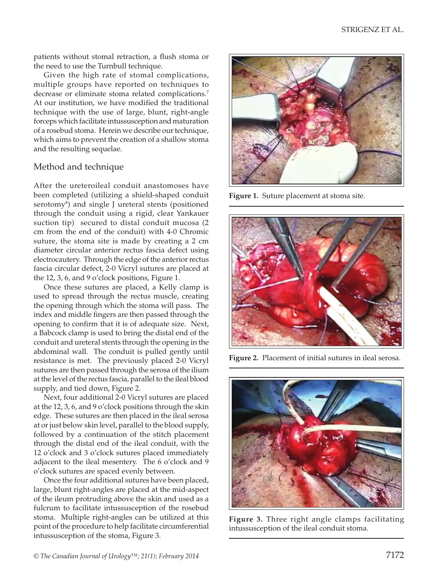patients without stomal retraction, a flush stoma or the need to use the Turnbull technique.

Given the high rate of stomal complications, multiple groups have reported on techniques to decrease or eliminate stoma related complications.<sup>7</sup> At our institution, we have modified the traditional technique with the use of large, blunt, right-angle forceps which facilitate intussusception and maturation of a rosebud stoma. Herein we describe our technique, which aims to prevent the creation of a shallow stoma and the resulting sequelae.

### Method and technique

After the ureteroileal conduit anastomoses have been completed (utilizing a shield-shaped conduit serotomy<sup>8</sup>) and single J ureteral stents (positioned through the conduit using a rigid, clear Yankauer suction tip) secured to distal conduit mucosa (2 cm from the end of the conduit) with 4-0 Chromic suture, the stoma site is made by creating a 2 cm diameter circular anterior rectus fascia defect using electrocautery. Through the edge of the anterior rectus fascia circular defect, 2-0 Vicryl sutures are placed at the 12, 3, 6, and 9 o'clock positions, Figure 1.

Once these sutures are placed, a Kelly clamp is used to spread through the rectus muscle, creating the opening through which the stoma will pass. The index and middle fingers are then passed through the opening to confirm that it is of adequate size. Next, a Babcock clamp is used to bring the distal end of the conduit and ureteral stents through the opening in the abdominal wall. The conduit is pulled gently until resistance is met. The previously placed 2-0 Vicryl sutures are then passed through the serosa of the ilium at the level of the rectus fascia, parallel to the ileal blood supply, and tied down, Figure 2.

Next, four additional 2-0 Vicryl sutures are placed at the 12, 3, 6, and 9 o'clock positions through the skin edge. These sutures are then placed in the ileal serosa at or just below skin level, parallel to the blood supply, followed by a continuation of the stitch placement through the distal end of the ileal conduit, with the 12 o'clock and 3 o'clock sutures placed immediately adjacent to the ileal mesentery. The 6 o'clock and 9 o'clock sutures are spaced evenly between.

Once the four additional sutures have been placed, large, blunt right-angles are placed at the mid-aspect of the ileum protruding above the skin and used as a fulcrum to facilitate intussusception of the rosebud stoma. Multiple right-angles can be utilized at this point of the procedure to help facilitate circumferential intussusception of the stoma, Figure 3.



**Figure 1.** Suture placement at stoma site.



**Figure 2.** Placement of initial sutures in ileal serosa.



**Figure 3.** Three right angle clamps facilitating intussusception of the ileal conduit stoma.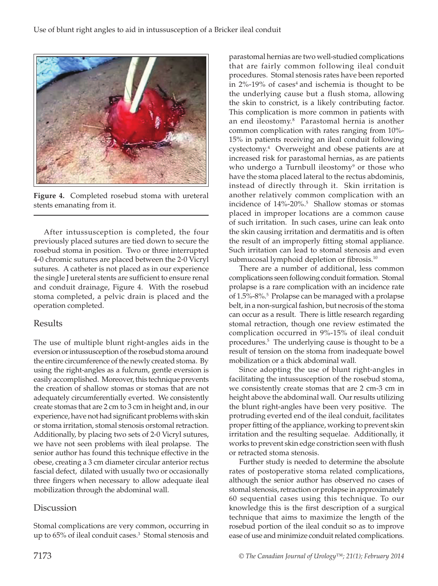

**Figure 4.** Completed rosebud stoma with ureteral stents emanating from it.

After intussusception is completed, the four previously placed sutures are tied down to secure the rosebud stoma in position. Two or three interrupted 4-0 chromic sutures are placed between the 2-0 Vicryl sutures. A catheter is not placed as in our experience the single J ureteral stents are sufficient to ensure renal and conduit drainage, Figure 4. With the rosebud stoma completed, a pelvic drain is placed and the operation completed.

### Results

The use of multiple blunt right-angles aids in the eversion or intussusception of the rosebud stoma around the entire circumference of the newly created stoma. By using the right-angles as a fulcrum, gentle eversion is easily accomplished. Moreover, this technique prevents the creation of shallow stomas or stomas that are not adequately circumferentially everted. We consistently create stomas that are 2 cm to 3 cm in height and, in our experience, have not had significant problems with skin or stoma irritation, stomal stenosis orstomal retraction. Additionally, by placing two sets of 2-0 Vicryl sutures, we have not seen problems with ileal prolapse. The senior author has found this technique effective in the obese, creating a 3 cm diameter circular anterior rectus fascial defect, dilated with usually two or occasionally three fingers when necessary to allow adequate ileal mobilization through the abdominal wall.

## **Discussion**

Stomal complications are very common, occurring in up to 65% of ileal conduit cases.<sup>3</sup> Stomal stenosis and

parastomal hernias are two well-studied complications that are fairly common following ileal conduit procedures. Stomal stenosis rates have been reported in  $2\%$ -19% of cases<sup>4</sup> and ischemia is thought to be the underlying cause but a flush stoma, allowing the skin to constrict, is a likely contributing factor. This complication is more common in patients with an end ileostomy.8 Parastomal hernia is another common complication with rates ranging from 10%- 15% in patients receiving an ileal conduit following cystectomy.4 Overweight and obese patients are at increased risk for parastomal hernias, as are patients who undergo a Turnbull ileostomy<sup>9</sup> or those who have the stoma placed lateral to the rectus abdominis, instead of directly through it. Skin irritation is another relatively common complication with an incidence of 14%-20%.5 Shallow stomas or stomas placed in improper locations are a common cause of such irritation. In such cases, urine can leak onto the skin causing irritation and dermatitis and is often the result of an improperly fitting stomal appliance. Such irritation can lead to stomal stenosis and even submucosal lymphoid depletion or fibrosis.<sup>10</sup>

There are a number of additional, less common complications seen following conduit formation. Stomal prolapse is a rare complication with an incidence rate of 1.5%-8%.<sup>5</sup> Prolapse can be managed with a prolapse belt, in a non-surgical fashion, but necrosis of the stoma can occur as a result. There is little research regarding stomal retraction, though one review estimated the complication occurred in 9%-15% of ileal conduit procedures.5 The underlying cause is thought to be a result of tension on the stoma from inadequate bowel mobilization or a thick abdominal wall.

Since adopting the use of blunt right-angles in facilitating the intussusception of the rosebud stoma, we consistently create stomas that are 2 cm-3 cm in height above the abdominal wall. Our results utilizing the blunt right-angles have been very positive. The protruding everted end of the ileal conduit, facilitates proper fitting of the appliance, working to prevent skin irritation and the resulting sequelae. Additionally, it works to prevent skin edge constriction seen with flush or retracted stoma stenosis.

Further study is needed to determine the absolute rates of postoperative stoma related complications, although the senior author has observed no cases of stomal stenosis, retraction or prolapse in approximately 60 sequential cases using this technique. To our knowledge this is the first description of a surgical technique that aims to maximize the length of the rosebud portion of the ileal conduit so as to improve ease of use and minimize conduit related complications.